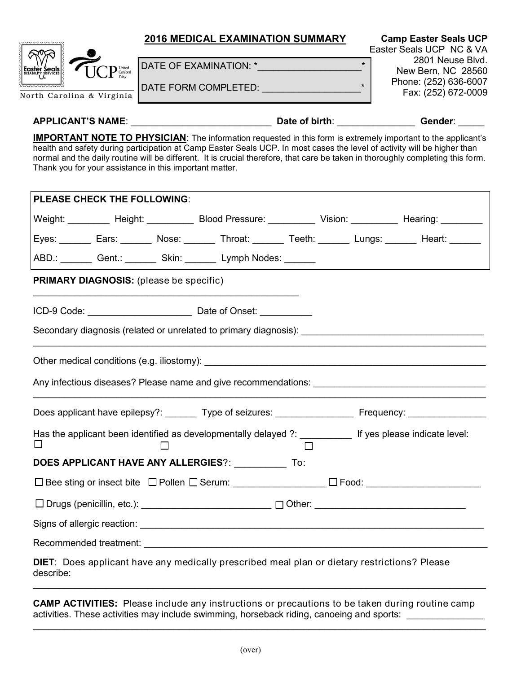

## **APPLICANT'S NAME**: \_\_\_\_\_\_\_\_\_\_\_\_\_\_\_\_\_\_\_\_\_\_\_\_\_\_\_ **Date of birth**: \_\_\_\_\_\_\_\_\_\_\_\_\_\_\_ **Gender**: \_\_\_\_\_

**IMPORTANT NOTE TO PHYSICIAN:** The information requested in this form is extremely important to the applicant's health and safety during participation at Camp Easter Seals UCP. In most cases the level of activity will be higher than normal and the daily routine will be different. It is crucial therefore, that care be taken in thoroughly completing this form. Thank you for your assistance in this important matter.

| <b>PLEASE CHECK THE FOLLOWING:</b>                                                                               |  |                                                                                                            |                                                                                                                                                                                                                                |  |  |  |                                                                                                       |  |  |  |  |  |
|------------------------------------------------------------------------------------------------------------------|--|------------------------------------------------------------------------------------------------------------|--------------------------------------------------------------------------------------------------------------------------------------------------------------------------------------------------------------------------------|--|--|--|-------------------------------------------------------------------------------------------------------|--|--|--|--|--|
|                                                                                                                  |  |                                                                                                            |                                                                                                                                                                                                                                |  |  |  | Weight: Height: Height: Blood Pressure: Vision: Vision: Hearing: 1986.                                |  |  |  |  |  |
|                                                                                                                  |  |                                                                                                            |                                                                                                                                                                                                                                |  |  |  | Eyes: _______ Ears: _______ Nose: _______ Throat: _______ Teeth: _______ Lungs: _______ Heart: ______ |  |  |  |  |  |
|                                                                                                                  |  |                                                                                                            | ABD.: Gent.: ________ Skin: _______ Lymph Nodes: ______                                                                                                                                                                        |  |  |  |                                                                                                       |  |  |  |  |  |
| <b>PRIMARY DIAGNOSIS:</b> (please be specific)                                                                   |  |                                                                                                            |                                                                                                                                                                                                                                |  |  |  |                                                                                                       |  |  |  |  |  |
|                                                                                                                  |  |                                                                                                            |                                                                                                                                                                                                                                |  |  |  |                                                                                                       |  |  |  |  |  |
| Secondary diagnosis (related or unrelated to primary diagnosis): __________________________________              |  |                                                                                                            |                                                                                                                                                                                                                                |  |  |  |                                                                                                       |  |  |  |  |  |
|                                                                                                                  |  |                                                                                                            |                                                                                                                                                                                                                                |  |  |  |                                                                                                       |  |  |  |  |  |
|                                                                                                                  |  |                                                                                                            |                                                                                                                                                                                                                                |  |  |  |                                                                                                       |  |  |  |  |  |
|                                                                                                                  |  | Does applicant have epilepsy?: ________ Type of seizures: __________________ Frequency: __________________ |                                                                                                                                                                                                                                |  |  |  |                                                                                                       |  |  |  |  |  |
| $\mathsf{I}$                                                                                                     |  | Has the applicant been identified as developmentally delayed ?: ____________ If yes please indicate level: |                                                                                                                                                                                                                                |  |  |  |                                                                                                       |  |  |  |  |  |
|                                                                                                                  |  |                                                                                                            | DOES APPLICANT HAVE ANY ALLERGIES?: To:                                                                                                                                                                                        |  |  |  |                                                                                                       |  |  |  |  |  |
| □ Bee sting or insect bite □ Pollen □ Serum: _______________ □ Food: __________________                          |  |                                                                                                            |                                                                                                                                                                                                                                |  |  |  |                                                                                                       |  |  |  |  |  |
|                                                                                                                  |  |                                                                                                            | □ Drugs (penicillin, etc.): _______________________________ □ Other: ______________________________                                                                                                                            |  |  |  |                                                                                                       |  |  |  |  |  |
|                                                                                                                  |  |                                                                                                            |                                                                                                                                                                                                                                |  |  |  |                                                                                                       |  |  |  |  |  |
|                                                                                                                  |  |                                                                                                            | Recommended treatment: Network and the series of the series of the series of the series of the series of the series of the series of the series of the series of the series of the series of the series of the series of the s |  |  |  |                                                                                                       |  |  |  |  |  |
| <b>DIET:</b> Does applicant have any medically prescribed meal plan or dietary restrictions? Please<br>describe: |  |                                                                                                            |                                                                                                                                                                                                                                |  |  |  |                                                                                                       |  |  |  |  |  |

**CAMP ACTIVITIES:** Please include any instructions or precautions to be taken during routine camp activities. These activities may include swimming, horseback riding, canoeing and sports:

\_\_\_\_\_\_\_\_\_\_\_\_\_\_\_\_\_\_\_\_\_\_\_\_\_\_\_\_\_\_\_\_\_\_\_\_\_\_\_\_\_\_\_\_\_\_\_\_\_\_\_\_\_\_\_\_\_\_\_\_\_\_\_\_\_\_\_\_\_\_\_\_\_\_\_\_\_\_\_\_\_\_\_\_\_\_\_